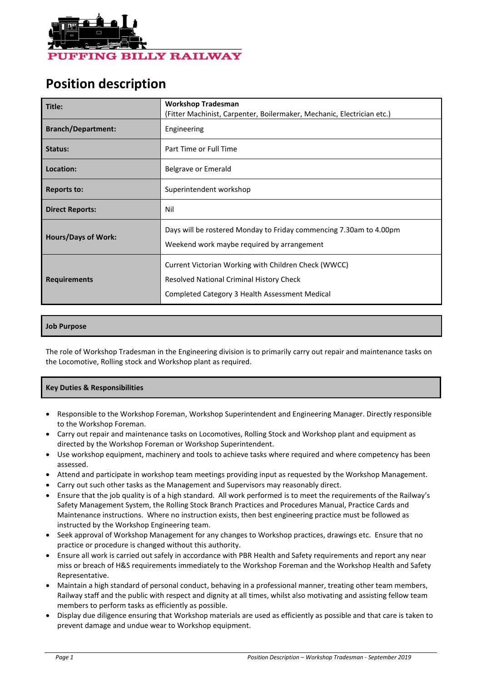

# **Position description**

| Title:                     | <b>Workshop Tradesman</b><br>(Fitter Machinist, Carpenter, Boilermaker, Mechanic, Electrician etc.)                                                |  |  |
|----------------------------|----------------------------------------------------------------------------------------------------------------------------------------------------|--|--|
| <b>Branch/Department:</b>  | Engineering                                                                                                                                        |  |  |
| Status:                    | Part Time or Full Time                                                                                                                             |  |  |
| Location:                  | Belgrave or Emerald                                                                                                                                |  |  |
| <b>Reports to:</b>         | Superintendent workshop                                                                                                                            |  |  |
| <b>Direct Reports:</b>     | Nil                                                                                                                                                |  |  |
| <b>Hours/Days of Work:</b> | Days will be rostered Monday to Friday commencing 7.30am to 4.00pm<br>Weekend work maybe required by arrangement                                   |  |  |
| <b>Requirements</b>        | Current Victorian Working with Children Check (WWCC)<br>Resolved National Criminal History Check<br>Completed Category 3 Health Assessment Medical |  |  |

# **Job Purpose**

The role of Workshop Tradesman in the Engineering division is to primarily carry out repair and maintenance tasks on the Locomotive, Rolling stock and Workshop plant as required.

### **Key Duties & Responsibilities**

- Responsible to the Workshop Foreman, Workshop Superintendent and Engineering Manager. Directly responsible to the Workshop Foreman.
- Carry out repair and maintenance tasks on Locomotives, Rolling Stock and Workshop plant and equipment as directed by the Workshop Foreman or Workshop Superintendent.
- Use workshop equipment, machinery and tools to achieve tasks where required and where competency has been assessed.
- Attend and participate in workshop team meetings providing input as requested by the Workshop Management.
- Carry out such other tasks as the Management and Supervisors may reasonably direct.
- Ensure that the job quality is of a high standard. All work performed is to meet the requirements of the Railway's Safety Management System, the Rolling Stock Branch Practices and Procedures Manual, Practice Cards and Maintenance instructions. Where no instruction exists, then best engineering practice must be followed as instructed by the Workshop Engineering team.
- Seek approval of Workshop Management for any changes to Workshop practices, drawings etc. Ensure that no practice or procedure is changed without this authority.
- Ensure all work is carried out safely in accordance with PBR Health and Safety requirements and report any near miss or breach of H&S requirements immediately to the Workshop Foreman and the Workshop Health and Safety Representative.
- Maintain a high standard of personal conduct, behaving in a professional manner, treating other team members, Railway staff and the public with respect and dignity at all times, whilst also motivating and assisting fellow team members to perform tasks as efficiently as possible.
- Display due diligence ensuring that Workshop materials are used as efficiently as possible and that care is taken to prevent damage and undue wear to Workshop equipment.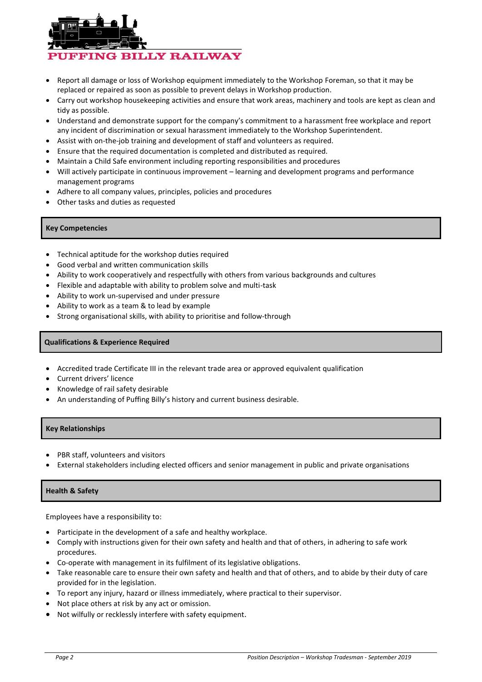

- Report all damage or loss of Workshop equipment immediately to the Workshop Foreman, so that it may be replaced or repaired as soon as possible to prevent delays in Workshop production.
- Carry out workshop housekeeping activities and ensure that work areas, machinery and tools are kept as clean and tidy as possible.
- Understand and demonstrate support for the company's commitment to a harassment free workplace and report any incident of discrimination or sexual harassment immediately to the Workshop Superintendent.
- Assist with on-the-job training and development of staff and volunteers as required.
- Ensure that the required documentation is completed and distributed as required.
- Maintain a Child Safe environment including reporting responsibilities and procedures
- Will actively participate in continuous improvement learning and development programs and performance management programs
- Adhere to all company values, principles, policies and procedures
- Other tasks and duties as requested

## **Key Competencies**

- Technical aptitude for the workshop duties required
- Good verbal and written communication skills
- Ability to work cooperatively and respectfully with others from various backgrounds and cultures
- Flexible and adaptable with ability to problem solve and multi-task
- Ability to work un-supervised and under pressure
- Ability to work as a team & to lead by example
- Strong organisational skills, with ability to prioritise and follow-through

## **Qualifications & Experience Required**

- Accredited trade Certificate III in the relevant trade area or approved equivalent qualification
- Current drivers' licence
- Knowledge of rail safety desirable
- An understanding of Puffing Billy's history and current business desirable.

# **Key Relationships**

- PBR staff, volunteers and visitors
- External stakeholders including elected officers and senior management in public and private organisations

### **Health & Safety**

Employees have a responsibility to:

- Participate in the development of a safe and healthy workplace.
- Comply with instructions given for their own safety and health and that of others, in adhering to safe work procedures.
- Co-operate with management in its fulfilment of its legislative obligations.
- Take reasonable care to ensure their own safety and health and that of others, and to abide by their duty of care provided for in the legislation.
- To report any injury, hazard or illness immediately, where practical to their supervisor.
- Not place others at risk by any act or omission.
- Not wilfully or recklessly interfere with safety equipment.